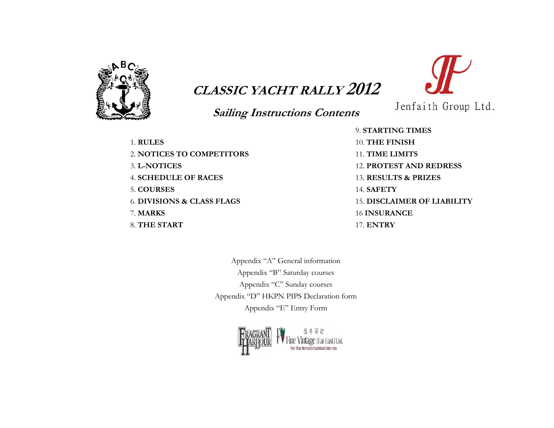

# **CLASSIC YACHT RALLY 2012**

# **Sailing Instructions Contents**

1. **RULES** 2. **NOTICES TO COMPETITORS**3. **L-NOTICES**4. **SCHEDULE OF RACES**5. **COURSES**6. **DIVISIONS & CLASS FLAGS** 7. **MARKS** 8. **THE START** 

9. **STARTING TIMES**10. **THE FINISH** 11. **TIME LIMITS**12. **PROTEST AND REDRESS**13. **RESULTS & PRIZES**14. **SAFETY**15. **DISCLAIMER OF LIABILITY**16 **INSURANCE**17. **ENTRY** 

Jenfaith Group Ltd.

Appendix "A" General information Appendix "B" Saturday courses Appendix "C" Sunday courses Appendix "D" HKPN PIPS Declaration form Appendix "E" Entry Form

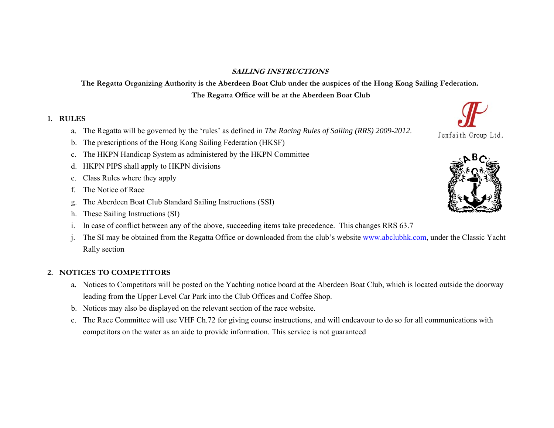#### **SAILING INSTRUCTIONS**

**The Regatta Organizing Authority is the Aberdeen Boat Club under the auspices of the Hong Kong Sailing Federation. The Regatta Office will be at the Aberdeen Boat Club** 

#### **1. RULES**

- a. The Regatta will be governed by the 'rules' as defined in *The Racing Rules of Sailing (RRS) 2009-2012*.
- b. The prescriptions of the Hong Kong Sailing Federation (HKSF)
- c. The HKPN Handicap System as administered by the HKPN Committee
- d. HKPN PIPS shall apply to HKPN divisions
- e. Class Rules where they apply
- f.The Notice of Race
- g. The Aberdeen Boat Club Standard Sailing Instructions (SSI)
- h. These Sailing Instructions (SI)
- i. In case of conflict between any of the above, succeeding items take precedence. This changes RRS 63.7
- j. The SI may be obtained from the Regatta Office or downloaded from the club's website www.abclubhk.com, under the Classic Yacht Rally section

#### **2. NOTICES TO COMPETITORS**

- a. Notices to Competitors will be posted on the Yachting notice board at the Aberdeen Boat Club, which is located outside the doorway leading from the Upper Level Car Park into the Club Offices and Coffee Shop.
- b. Notices may also be displayed on the relevant section of the race website.
- c. The Race Committee will use VHF Ch.72 for giving course instructions, and will endeavour to do so for all communications with competitors on the water as an aide to provide information. This service is not guaranteed



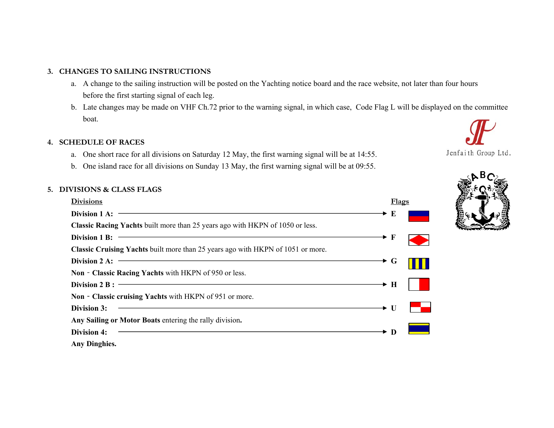#### **3. CHANGES TO SAILING INSTRUCTIONS**

- a. A change to the sailing instruction will be posted on the Yachting notice board and the race website, not later than four hours before the first starting signal of each leg.
- b. Late changes may be made on VHF Ch.72 prior to the warning signal, in which case, Code Flag L will be displayed on the committee boat.

#### **4. SCHEDULE OF RACES**

- a. One short race for all divisions on Saturday 12 May, the first warning signal will be at 14:55.
- b. One island race for all divisions on Sunday 13 May, the first warning signal will be at 09:55.

#### **5. DIVISIONS & CLASS FLAGS**

| <b>Divisions</b>                                                                       | Flags                   |
|----------------------------------------------------------------------------------------|-------------------------|
| Division 1 A:                                                                          | $\rightarrow$ E         |
| <b>Classic Racing Yachts</b> built more than 25 years ago with HKPN of 1050 or less.   |                         |
| Division 1 B:                                                                          | → F                     |
| <b>Classic Cruising Yachts</b> built more than 25 years ago with HKPN of 1051 or more. |                         |
| Division 2 A:                                                                          | $\blacktriangleright$ G |
| Non - Classic Racing Yachts with HKPN of 950 or less.                                  |                         |
| Division $2 B:$ $\overline{\phantom{a}}$                                               | $\rightarrow$ H         |
| Non - Classic cruising Yachts with HKPN of 951 or more.                                |                         |
| Division 3:                                                                            | $\rightarrow U$         |
| Any Sailing or Motor Boats entering the rally division.                                |                         |
| <b>Division 4:</b>                                                                     | $\star$ D               |
| <b>Any Dinghies.</b>                                                                   |                         |



Jenfaith Group Ltd.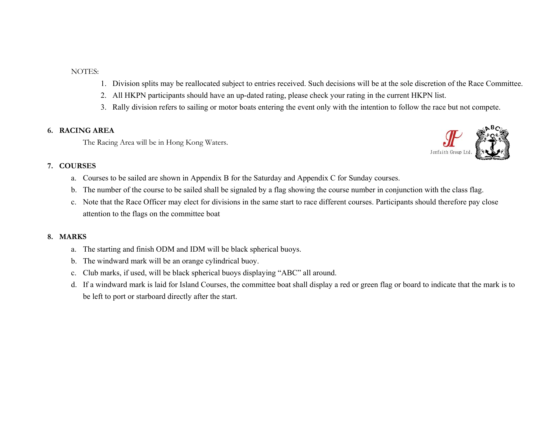NOTES:

- 1. Division splits may be reallocated subject to entries received. Such decisions will be at the sole discretion of the Race Committee.
- 2. All HKPN participants should have an up-dated rating, please check your rating in the current HKPN list.
- 3. Rally division refers to sailing or motor boats entering the event only with the intention to follow the race but not compete.

#### **6. RACING AREA**

The Racing Area will be in Hong Kong Waters.

#### **7. COURSES**

- a. Courses to be sailed are shown in Appendix B for the Saturday and Appendix C for Sunday courses.
- b. The number of the course to be sailed shall be signaled by a flag showing the course number in conjunction with the class flag.
- c. Note that the Race Officer may elect for divisions in the same start to race different courses. Participants should therefore pay close attention to the flags on the committee boat

#### **8. MARKS**

- a. The starting and finish ODM and IDM will be black spherical buoys.
- b. The windward mark will be an orange cylindrical buoy.
- c. Club marks, if used, will be black spherical buoys displaying "ABC" all around.
- d. If a windward mark is laid for Island Courses, the committee boat shall display a red or green flag or board to indicate that the mark is to be left to port or starboard directly after the start.

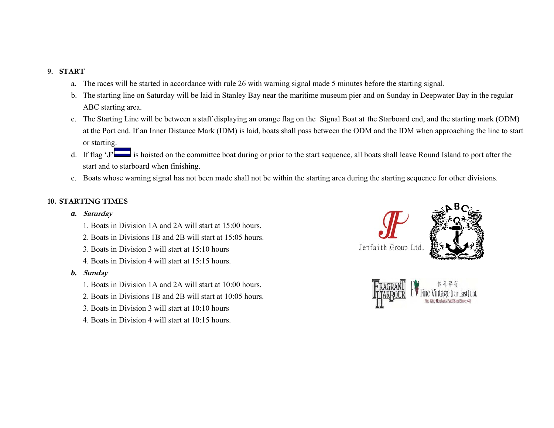#### **9. START**

- a. The races will be started in accordance with rule 26 with warning signal made 5 minutes before the starting signal.
- b. The starting line on Saturday will be laid in Stanley Bay near the maritime museum pier and on Sunday in Deepwater Bay in the regular ABC starting area.
- c. The Starting Line will be between a staff displaying an orange flag on the Signal Boat at the Starboard end, and the starting mark (ODM) at the Port end. If an Inner Distance Mark (IDM) is laid, boats shall pass between the ODM and the IDM when approaching the line to start or starting.
- d. If flag '**J'** is hoisted on the committee boat during or prior to the start sequence, all boats shall leave Round Island to port after the start and to starboard when finishing.
- e. Boats whose warning signal has not been made shall not be within the starting area during the starting sequence for other divisions.

#### **10. STARTING TIMES**

- *a.* **Saturday** 
	- 1. Boats in Division 1A and 2A will start at 15:00 hours.
	- 2. Boats in Divisions 1B and 2B will start at 15:05 hours.
	- 3. Boats in Division 3 will start at 15:10 hours
	- 4. Boats in Division 4 will start at 15:15 hours.
- *b.* **Sunday** 
	- 1. Boats in Division 1A and 2A will start at 10:00 hours.
	- 2. Boats in Divisions 1B and 2B will start at 10:05 hours.
	- 3. Boats in Division 3 will start at 10:10 hours
	- 4. Boats in Division 4 will start at 10:15 hours.



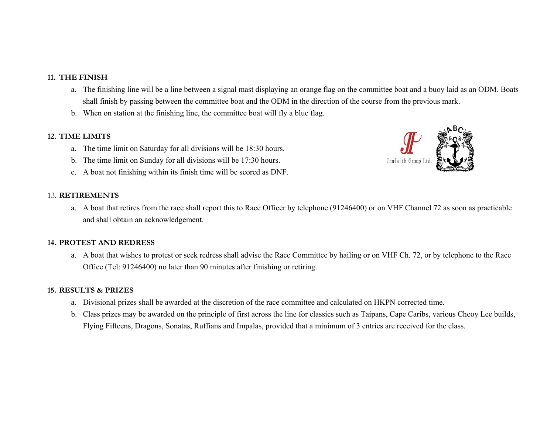#### **11. THE FINISH**

- a. The finishing line will be a line between a signal mast displaying an orange flag on the committee boat and a buoy laid as an ODM. Boats shall finish by passing between the committee boat and the ODM in the direction of the course from the previous mark.
- b. When on station at the finishing line, the committee boat will fly a blue flag.

#### **12. TIME LIMITS**

- a. The time limit on Saturday for all divisions will be 18:30 hours.
- b. The time limit on Sunday for all divisions will be 17:30 hours.
- c. A boat not finishing within its finish time will be scored as DNF.



#### 13. **RETIREMENTS**

a. A boat that retires from the race shall report this to Race Officer by telephone (91246400) or on VHF Channel 72 as soon as practicable and shall obtain an acknowledgement.

#### **14. PROTEST AND REDRESS**

a. A boat that wishes to protest or seek redress shall advise the Race Committee by hailing or on VHF Ch. 72, or by telephone to the Race Office (Tel: 91246400) no later than 90 minutes after finishing or retiring.

#### **15. RESULTS & PRIZES**

- a. Divisional prizes shall be awarded at the discretion of the race committee and calculated on HKPN corrected time.
- b. Class prizes may be awarded on the principle of first across the line for classics such as Taipans, Cape Caribs, various Cheoy Lee builds, Flying Fifteens, Dragons, Sonatas, Ruffians and Impalas, provided that a minimum of 3 entries are received for the class.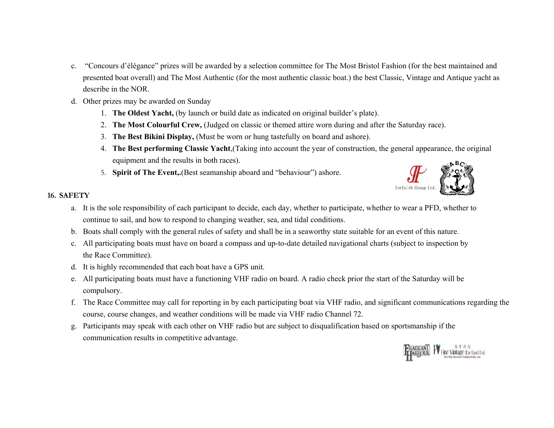- c. "Concours d'élégance" prizes will be awarded by a selection committee for The Most Bristol Fashion (for the best maintained and presented boat overall) and The Most Authentic (for the most authentic classic boat.) the best Classic, Vintage and Antique yacht as describe in the NOR.
- d. Other prizes may be awarded on Sunday
	- 1. **The Oldest Yacht,** (by launch or build date as indicated on original builder's plate).
	- 2. **The Most Colourful Crew,** (Judged on classic or themed attire worn during and after the Saturday race).
	- 3. **The Best Bikini Display,** (Must be worn or hung tastefully on board and ashore).
	- 4. **The Best performing Classic Yacht**,(Taking into account the year of construction, the general appearance, the original equipment and the results in both races).
	- 5. **Spirit of The Event,.**(Best seamanship aboard and "behaviour") ashore.



#### **16. SAFETY**

- a. It is the sole responsibility of each participant to decide, each day, whether to participate, whether to wear a PFD, whether to continue to sail, and how to respond to changing weather, sea, and tidal conditions.
- b. Boats shall comply with the general rules of safety and shall be in a seaworthy state suitable for an event of this nature.
- c. All participating boats must have on board a compass and up-to-date detailed navigational charts (subject to inspection by the Race Committee).
- d. It is highly recommended that each boat have a GPS unit.
- e. All participating boats must have a functioning VHF radio on board. A radio check prior the start of the Saturday will be compulsory.
- f. The Race Committee may call for reporting in by each participating boat via VHF radio, and significant communications regarding the course, course changes, and weather conditions will be made via VHF radio Channel 72.
- g. Participants may speak with each other on VHF radio but are subject to disqualification based on sportsmanship if the communication results in competitive advantage.

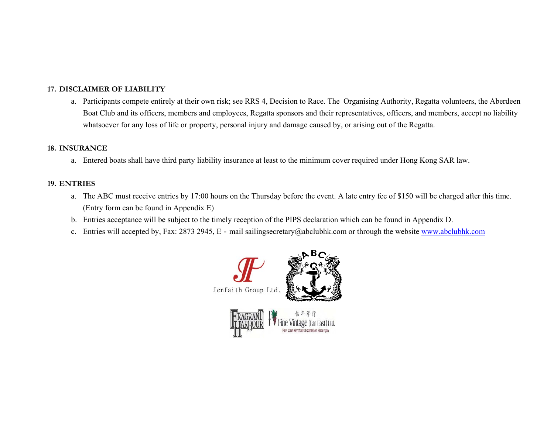#### **17. DISCLAIMER OF LIABILITY**

a. Participants compete entirely at their own risk; see RRS 4, Decision to Race. The Organising Authority, Regatta volunteers, the Aberdeen Boat Club and its officers, members and employees, Regatta sponsors and their representatives, officers, and members, accept no liability whatsoever for any loss of life or property, personal injury and damage caused by, or arising out of the Regatta.

#### **18. INSURANCE**

a. Entered boats shall have third party liability insurance at least to the minimum cover required under Hong Kong SAR law.

#### **19. ENTRIES**

- a. The ABC must receive entries by 17:00 hours on the Thursday before the event. A late entry fee of \$150 will be charged after this time. (Entry form can be found in Appendix E)
- b. Entries acceptance will be subject to the timely reception of the PIPS declaration which can be found in Appendix D.
- c. Entries will accepted by, Fax: 2873 2945, E mail sailingsecretary@abclubhk.com or through the website www.abclubhk.com

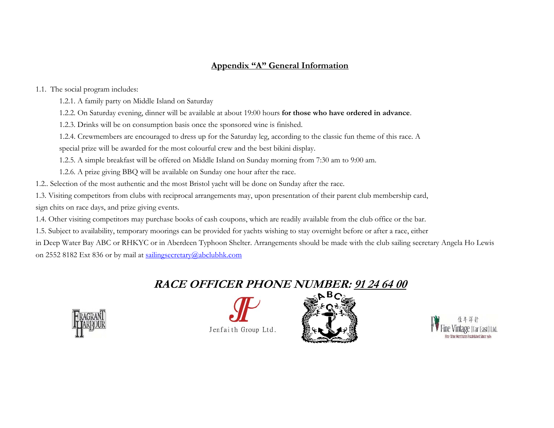### **Appendix "A" General Information**

1.1. The social program includes:

1.2.1. A family party on Middle Island on Saturday

1.2.2. On Saturday evening, dinner will be available at about 19:00 hours **for those who have ordered in advance**.

1.2.3. Drinks will be on consumption basis once the sponsored wine is finished.

1.2.4. Crewmembers are encouraged to dress up for the Saturday leg, according to the classic fun theme of this race. A

special prize will be awarded for the most colourful crew and the best bikini display.

1.2.5. A simple breakfast will be offered on Middle Island on Sunday morning from 7:30 am to 9:00 am.

1.2.6. A prize giving BBQ will be available on Sunday one hour after the race.

1.2.. Selection of the most authentic and the most Bristol yacht will be done on Sunday after the race.

1.3. Visiting competitors from clubs with reciprocal arrangements may, upon presentation of their parent club membership card, sign chits on race days, and prize giving events.

1.4. Other visiting competitors may purchase books of cash coupons, which are readily available from the club office or the bar.

1.5. Subject to availability, temporary moorings can be provided for yachts wishing to stay overnight before or after a race, either

in Deep Water Bay ABC or RHKYC or in Aberdeen Typhoon Shelter. Arrangements should be made with the club sailing secretary Angela Ho Lewis

on 2552 8182 Ext 836 or by mail at sailingsecretary@abclubhk.com

# **RACE OFFICER PHONE NUMBER: 91 24 64 00**







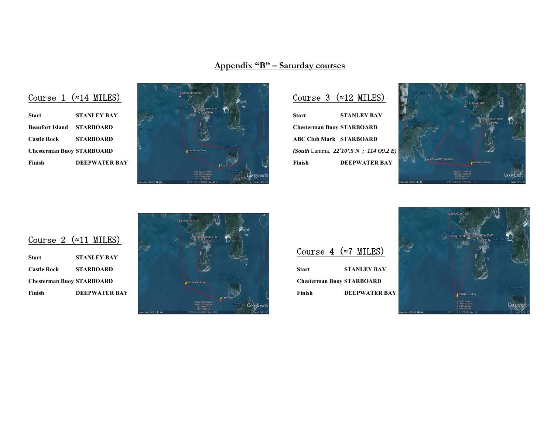**Appendix "B" – Saturday courses**





## Course 3 (≈12 MILES)

**Start STANLEY BAY Chesterman Buoy STARBOARD ABC Club Mark STARBOARD**  *(South* Lamma, *22˚10'.5 N ; 114*۫ *O9.2 E)*  **Finish DEEPWATER BAY** 



## Course 2 (≈11 MILES)

| <b>Start</b>                     | <b>STANLEY BAY</b>   |
|----------------------------------|----------------------|
| <b>Castle Rock</b>               | <b>STARBOARD</b>     |
| <b>Chesterman Buoy STARBOARD</b> |                      |
| Finish                           | <b>DEEPWATER BAY</b> |



Course 4 (≈7 MILES)

**Start STANLEY BAY Chesterman Buoy STARBOARD Finish DEEPWATER BAY** 

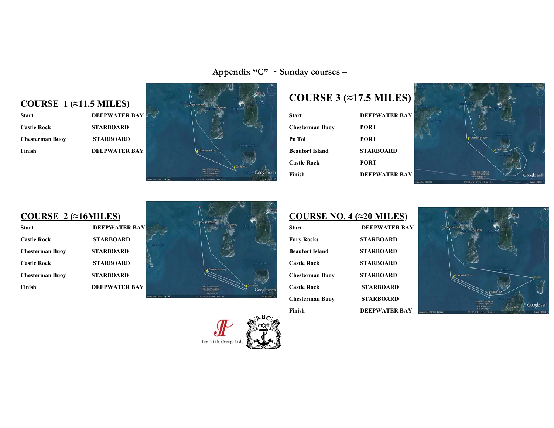**Appendix "C"** ‐**Sunday courses –**

## **COURSE 1 (≈11.5 MILES)**

| <b>Start</b>           | <b>DEEPWATER BAY</b> |
|------------------------|----------------------|
| <b>Castle Rock</b>     | <b>STARBOARD</b>     |
| <b>Chesterman Buoy</b> | <b>STARBOARD</b>     |
| Finish                 | <b>DEEPWATER BAY</b> |



# **COURSE 3 (≈17.5 MILES)**

| Start              | <b>DEEPWATER BAY</b> |
|--------------------|----------------------|
| Chesterman Buoy    | <b>PORT</b>          |
| Po Toi             | <b>PORT</b>          |
| Beaufort Island    | <b>STARBOARD</b>     |
| <b>Castle Rock</b> | <b>PORT</b>          |
| Finish             | <b>DEEPWATER BAY</b> |
|                    |                      |



## **COURSE 2 (≈16MILES)**

| <b>Start</b>           | <b>DEEPWATER BAY</b> |
|------------------------|----------------------|
| <b>Castle Rock</b>     | <b>STARBOARD</b>     |
| <b>Chesterman Buoy</b> | <b>STARBOARD</b>     |
| <b>Castle Rock</b>     | <b>STARBOARD</b>     |
| <b>Chesterman Buoy</b> | <b>STARBOARD</b>     |
| Finish                 | <b>DEEPWATER BAY</b> |



Jenfaith Group Ltd.



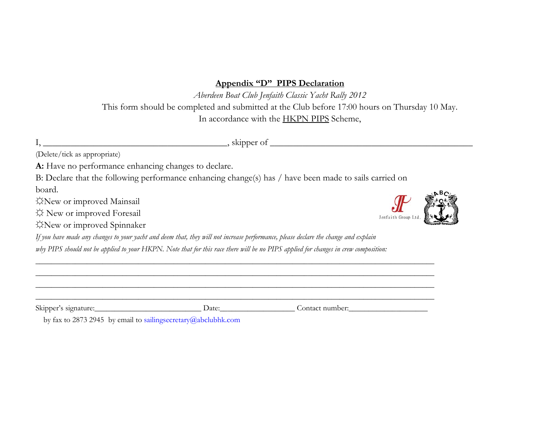#### **Appendix "D" PIPS Declaration**

*Aberdeen Boat Club Jenfaith Classic Yacht Rally 2012*  This form should be completed and submitted at the Club before 17:00 hours on Thursday 10 May. In accordance with the HKPN PIPS Scheme,

I, \_\_\_\_\_\_\_\_\_\_\_\_\_\_\_\_\_\_\_\_\_\_\_\_\_\_\_\_\_\_\_\_\_\_\_\_\_\_\_\_, skipper of \_\_\_\_\_\_\_\_\_\_\_\_\_\_\_\_\_\_\_\_\_\_\_\_\_\_\_\_\_\_\_\_\_\_\_\_\_\_\_\_\_\_\_\_

(Delete/tick as appropriate)

A: Have no performance enhancing changes to declare.

B: Declare that the following performance enhancing change(s) has / have been made to sails carried on board.

☼New or improved Mainsail

☼ New or improved Foresail

☼New or improved Spinnaker



*If you have made any changes to your yacht and deem that, they will not increase performance, please declare the change and explain why PIPS should not be applied to your HKPN. Note that for this race there will be no PIPS applied for changes in crew composition:* 

| $\bigcap$ $\bigcap$<br><b>SK1DDE</b><br>. | Date: | .)er<br>∩r |
|-------------------------------------------|-------|------------|

\_\_\_\_\_\_\_\_\_\_\_\_\_\_\_\_\_\_\_\_\_\_\_\_\_\_\_\_\_\_\_\_\_\_\_\_\_\_\_\_\_\_\_\_\_\_\_\_\_\_\_\_\_\_\_\_\_\_\_\_\_\_\_\_\_\_\_\_\_\_\_\_\_\_\_\_\_\_\_\_\_\_\_\_\_\_\_\_\_\_\_\_\_\_\_\_\_\_\_\_\_ \_\_\_\_\_\_\_\_\_\_\_\_\_\_\_\_\_\_\_\_\_\_\_\_\_\_\_\_\_\_\_\_\_\_\_\_\_\_\_\_\_\_\_\_\_\_\_\_\_\_\_\_\_\_\_\_\_\_\_\_\_\_\_\_\_\_\_\_\_\_\_\_\_\_\_\_\_\_\_\_\_\_\_\_\_\_\_\_\_\_\_\_\_\_\_\_\_\_\_\_\_ \_\_\_\_\_\_\_\_\_\_\_\_\_\_\_\_\_\_\_\_\_\_\_\_\_\_\_\_\_\_\_\_\_\_\_\_\_\_\_\_\_\_\_\_\_\_\_\_\_\_\_\_\_\_\_\_\_\_\_\_\_\_\_\_\_\_\_\_\_\_\_\_\_\_\_\_\_\_\_\_\_\_\_\_\_\_\_\_\_\_\_\_\_\_\_\_\_\_\_\_\_

by fax to 2873 2945 by email to sailingsecretary@abclubhk.com